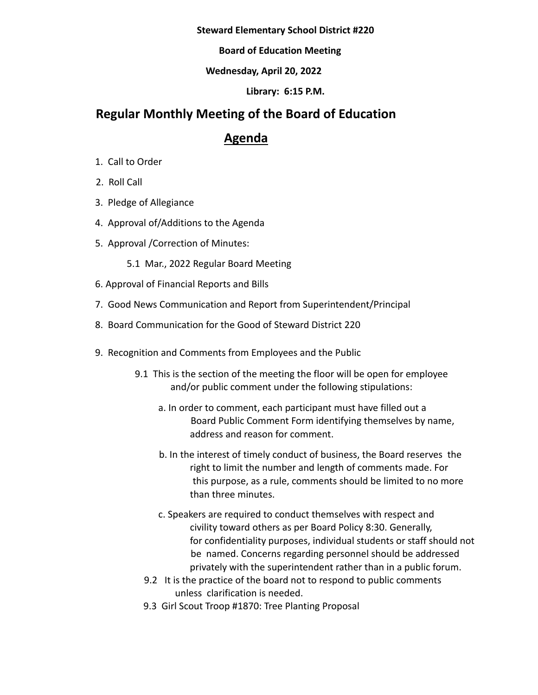#### **Steward Elementary School District #220**

### **Board of Education Meeting**

## **Wednesday, April 20, 2022**

### **Library: 6:15 P.M.**

# **Regular Monthly Meeting of the Board of Education**

# **Agenda**

- 1. Call to Order
- 2. Roll Call
- 3. Pledge of Allegiance
- 4. Approval of/Additions to the Agenda
- 5. Approval /Correction of Minutes:
	- 5.1 Mar., 2022 Regular Board Meeting
- 6. Approval of Financial Reports and Bills
- 7. Good News Communication and Report from Superintendent/Principal
- 8. Board Communication for the Good of Steward District 220
- 9. Recognition and Comments from Employees and the Public
	- 9.1 This is the section of the meeting the floor will be open for employee and/or public comment under the following stipulations:
		- a. In order to comment, each participant must have filled out a Board Public Comment Form identifying themselves by name, address and reason for comment.
		- b. In the interest of timely conduct of business, the Board reserves the right to limit the number and length of comments made. For this purpose, as a rule, comments should be limited to no more than three minutes.
		- c. Speakers are required to conduct themselves with respect and civility toward others as per Board Policy 8:30. Generally, for confidentiality purposes, individual students or staff should not be named. Concerns regarding personnel should be addressed privately with the superintendent rather than in a public forum.
		- 9.2 It is the practice of the board not to respond to public comments unless clarification is needed.
		- 9.3 Girl Scout Troop #1870: Tree Planting Proposal